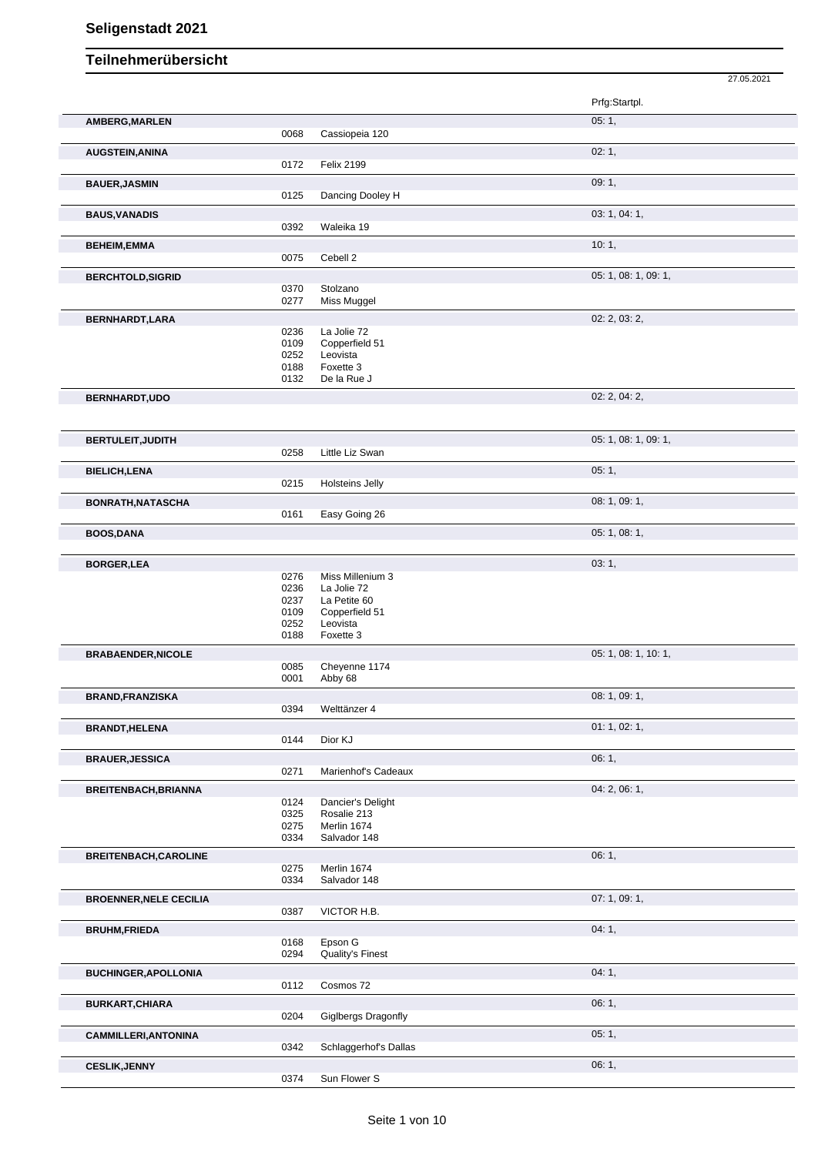|                               |              |                             | 27.05.2021           |
|-------------------------------|--------------|-----------------------------|----------------------|
|                               |              |                             | Prfg:Startpl.        |
| AMBERG, MARLEN                |              |                             | 05:1,                |
|                               | 0068         | Cassiopeia 120              |                      |
| <b>AUGSTEIN, ANINA</b>        |              |                             | 02:1,                |
|                               | 0172         | <b>Felix 2199</b>           |                      |
| <b>BAUER, JASMIN</b>          |              |                             | 09:1,                |
|                               | 0125         | Dancing Dooley H            |                      |
| <b>BAUS, VANADIS</b>          |              |                             | 03: 1, 04: 1,        |
|                               | 0392         | Waleika 19                  |                      |
| <b>BEHEIM,EMMA</b>            |              |                             | 10:1,                |
|                               | 0075         | Cebell 2                    |                      |
| <b>BERCHTOLD, SIGRID</b>      |              |                             | 05: 1, 08: 1, 09: 1, |
|                               | 0370         | Stolzano                    |                      |
|                               | 0277         | Miss Muggel                 |                      |
| BERNHARDT, LARA               |              |                             | 02: 2, 03: 2,        |
|                               | 0236         | La Jolie 72                 |                      |
|                               | 0109         | Copperfield 51              |                      |
|                               | 0252<br>0188 | Leovista<br>Foxette 3       |                      |
|                               | 0132         | De la Rue J                 |                      |
|                               |              |                             | 02: 2, 04: 2,        |
| BERNHARDT, UDO                |              |                             |                      |
|                               |              |                             |                      |
| <b>BERTULEIT, JUDITH</b>      |              |                             | 05: 1, 08: 1, 09: 1, |
|                               | 0258         | Little Liz Swan             |                      |
| <b>BIELICH, LENA</b>          |              |                             | 05:1,                |
|                               | 0215         | <b>Holsteins Jelly</b>      |                      |
|                               |              |                             |                      |
| BONRATH, NATASCHA             | 0161         | Easy Going 26               | 08: 1, 09: 1,        |
|                               |              |                             | 05: 1, 08: 1,        |
| <b>BOOS,DANA</b>              |              |                             |                      |
|                               |              |                             |                      |
| <b>BORGER,LEA</b>             | 0276         | Miss Millenium 3            | 03:1,                |
|                               | 0236         | La Jolie 72                 |                      |
|                               | 0237         | La Petite 60                |                      |
|                               | 0109         | Copperfield 51              |                      |
|                               | 0252         | Leovista                    |                      |
|                               | 0188         | Foxette 3                   |                      |
| <b>BRABAENDER, NICOLE</b>     |              |                             | 05: 1, 08: 1, 10: 1, |
|                               | 0085<br>0001 | Cheyenne 1174<br>Abby 68    |                      |
|                               |              |                             |                      |
| <b>BRAND, FRANZISKA</b>       | 0394         | Welttänzer 4                | 08: 1, 09: 1,        |
|                               |              |                             |                      |
| <b>BRANDT, HELENA</b>         |              |                             | 01: 1, 02: 1,        |
|                               | 0144         | Dior KJ                     |                      |
| <b>BRAUER, JESSICA</b>        |              |                             | 06:1,                |
|                               | 0271         | Marienhof's Cadeaux         |                      |
| <b>BREITENBACH, BRIANNA</b>   |              |                             | 04: 2, 06: 1,        |
|                               | 0124         | Dancier's Delight           |                      |
|                               | 0325         | Rosalie 213                 |                      |
|                               | 0275<br>0334 | Merlin 1674<br>Salvador 148 |                      |
|                               |              |                             |                      |
| BREITENBACH, CAROLINE         | 0275         | Merlin 1674                 | 06:1,                |
|                               | 0334         | Salvador 148                |                      |
|                               |              |                             | 07:1,09:1,           |
| <b>BROENNER, NELE CECILIA</b> | 0387         | VICTOR H.B.                 |                      |
|                               |              |                             |                      |
| <b>BRUHM,FRIEDA</b>           | 0168         | Epson G                     | 04:1,                |
|                               | 0294         | <b>Quality's Finest</b>     |                      |
|                               |              |                             |                      |
| <b>BUCHINGER, APOLLONIA</b>   | 0112         | Cosmos 72                   | 04:1,                |
|                               |              |                             |                      |
| <b>BURKART, CHIARA</b>        |              |                             | 06:1,                |
|                               | 0204         | Giglbergs Dragonfly         |                      |
| <b>CAMMILLERI, ANTONINA</b>   |              |                             | 05:1,                |
|                               | 0342         | Schlaggerhof's Dallas       |                      |
| <b>CESLIK, JENNY</b>          |              |                             | 06:1,                |
|                               | 0374         | Sun Flower S                |                      |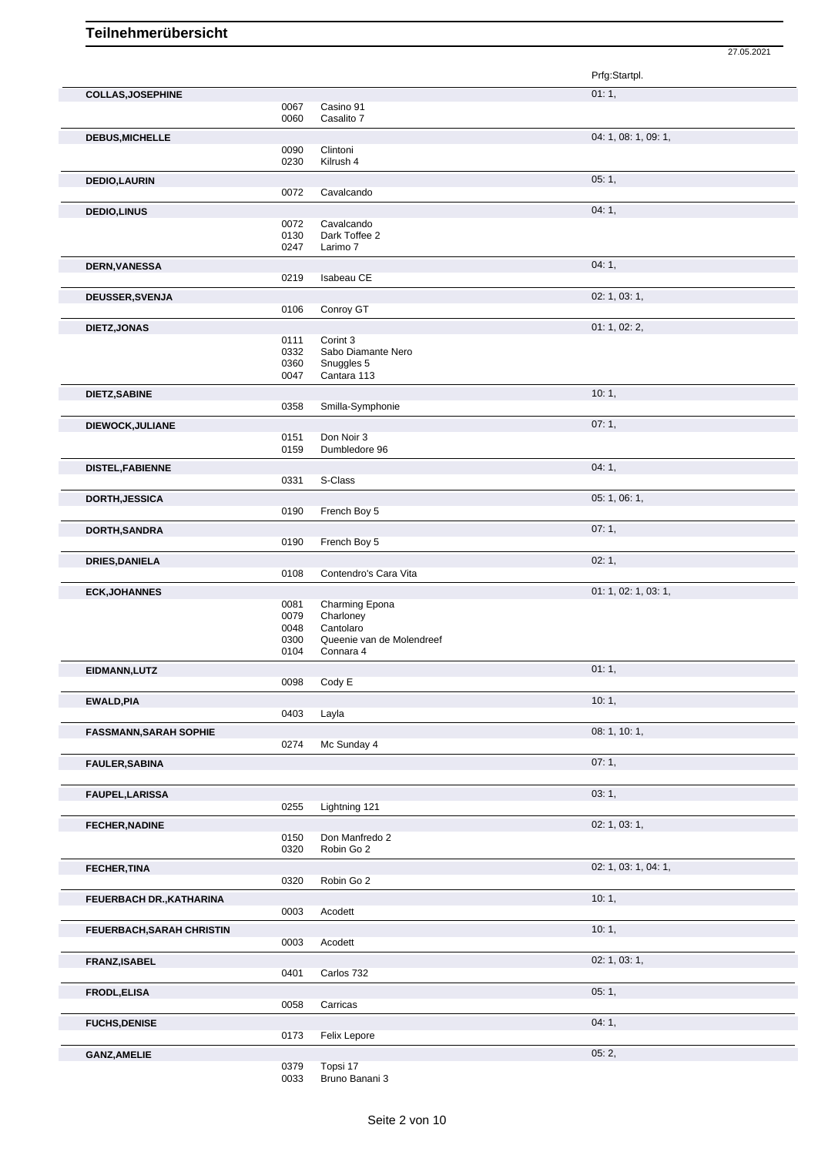|                               |              |                                        | Prfg:Startpl.        |
|-------------------------------|--------------|----------------------------------------|----------------------|
| <b>COLLAS, JOSEPHINE</b>      |              |                                        | 01:1,                |
|                               | 0067         | Casino 91                              |                      |
|                               | 0060         | Casalito 7                             |                      |
| <b>DEBUS, MICHELLE</b>        |              |                                        | 04: 1, 08: 1, 09: 1, |
|                               | 0090         | Clintoni                               |                      |
|                               | 0230         | Kilrush 4                              |                      |
| <b>DEDIO,LAURIN</b>           |              |                                        | 05:1,                |
|                               | 0072         | Cavalcando                             |                      |
| <b>DEDIO,LINUS</b>            |              |                                        | 04:1,                |
|                               | 0072         | Cavalcando                             |                      |
|                               | 0130         | Dark Toffee 2                          |                      |
|                               | 0247         | Larimo 7                               |                      |
| <b>DERN, VANESSA</b>          |              |                                        | 04:1,                |
|                               | 0219         | Isabeau CE                             |                      |
|                               |              |                                        | 02: 1, 03: 1,        |
| <b>DEUSSER, SVENJA</b>        | 0106         | Conroy GT                              |                      |
|                               |              |                                        |                      |
| DIETZ, JONAS                  |              |                                        | 01: 1, 02: 2,        |
|                               | 0111<br>0332 | Corint 3<br>Sabo Diamante Nero         |                      |
|                               | 0360         | Snuggles 5                             |                      |
|                               | 0047         | Cantara 113                            |                      |
|                               |              |                                        |                      |
| DIETZ, SABINE                 | 0358         | Smilla-Symphonie                       | 10:1,                |
|                               |              |                                        |                      |
| DIEWOCK, JULIANE              |              |                                        | 07:1,                |
|                               | 0151         | Don Noir 3                             |                      |
|                               | 0159         | Dumbledore 96                          |                      |
| <b>DISTEL, FABIENNE</b>       |              |                                        | 04:1,                |
|                               | 0331         | S-Class                                |                      |
| <b>DORTH, JESSICA</b>         |              |                                        | 05: 1, 06: 1,        |
|                               | 0190         | French Boy 5                           |                      |
| DORTH, SANDRA                 |              |                                        | 07:1,                |
|                               | 0190         | French Boy 5                           |                      |
|                               |              |                                        |                      |
|                               |              |                                        |                      |
| <b>DRIES, DANIELA</b>         |              |                                        | 02:1,                |
|                               | 0108         | Contendro's Cara Vita                  |                      |
| <b>ECK, JOHANNES</b>          |              |                                        | 01: 1, 02: 1, 03: 1, |
|                               | 0081         | Charming Epona                         |                      |
|                               | 0079         | Charloney                              |                      |
|                               | 0048<br>0300 | Cantolaro<br>Queenie van de Molendreef |                      |
|                               | 0104         | Connara 4                              |                      |
|                               |              |                                        |                      |
| EIDMANN, LUTZ                 |              |                                        | 01:1,                |
|                               | 0098         | Cody E                                 |                      |
| <b>EWALD, PIA</b>             |              |                                        | 10:1,                |
|                               | 0403         | Layla                                  |                      |
| <b>FASSMANN, SARAH SOPHIE</b> |              |                                        | 08: 1, 10: 1,        |
|                               | 0274         | Mc Sunday 4                            |                      |
| <b>FAULER, SABINA</b>         |              |                                        | 07:1,                |
|                               |              |                                        |                      |
|                               |              |                                        |                      |
| <b>FAUPEL, LARISSA</b>        |              |                                        | 03:1,                |
|                               | 0255         | Lightning 121                          |                      |
| <b>FECHER, NADINE</b>         |              |                                        | 02: 1, 03: 1,        |
|                               | 0150         | Don Manfredo 2                         |                      |
|                               | 0320         | Robin Go 2                             |                      |
| <b>FECHER, TINA</b>           |              |                                        | 02: 1, 03: 1, 04: 1, |
|                               | 0320         | Robin Go 2                             |                      |
| FEUERBACH DR., KATHARINA      |              |                                        | 10:1,                |
|                               | 0003         | Acodett                                |                      |
|                               |              |                                        | 10:1,                |
| FEUERBACH, SARAH CHRISTIN     | 0003         | Acodett                                |                      |
|                               |              |                                        |                      |
| FRANZ, ISABEL                 |              |                                        | 02: 1, 03: 1,        |
|                               | 0401         | Carlos 732                             |                      |
| <b>FRODL, ELISA</b>           |              |                                        | 05:1,                |
|                               | 0058         | Carricas                               |                      |
| <b>FUCHS, DENISE</b>          |              |                                        | 04:1,                |
|                               | 0173         | Felix Lepore                           |                      |

27.05.2021

0379 Topsi 17 0033 Bruno Banani 3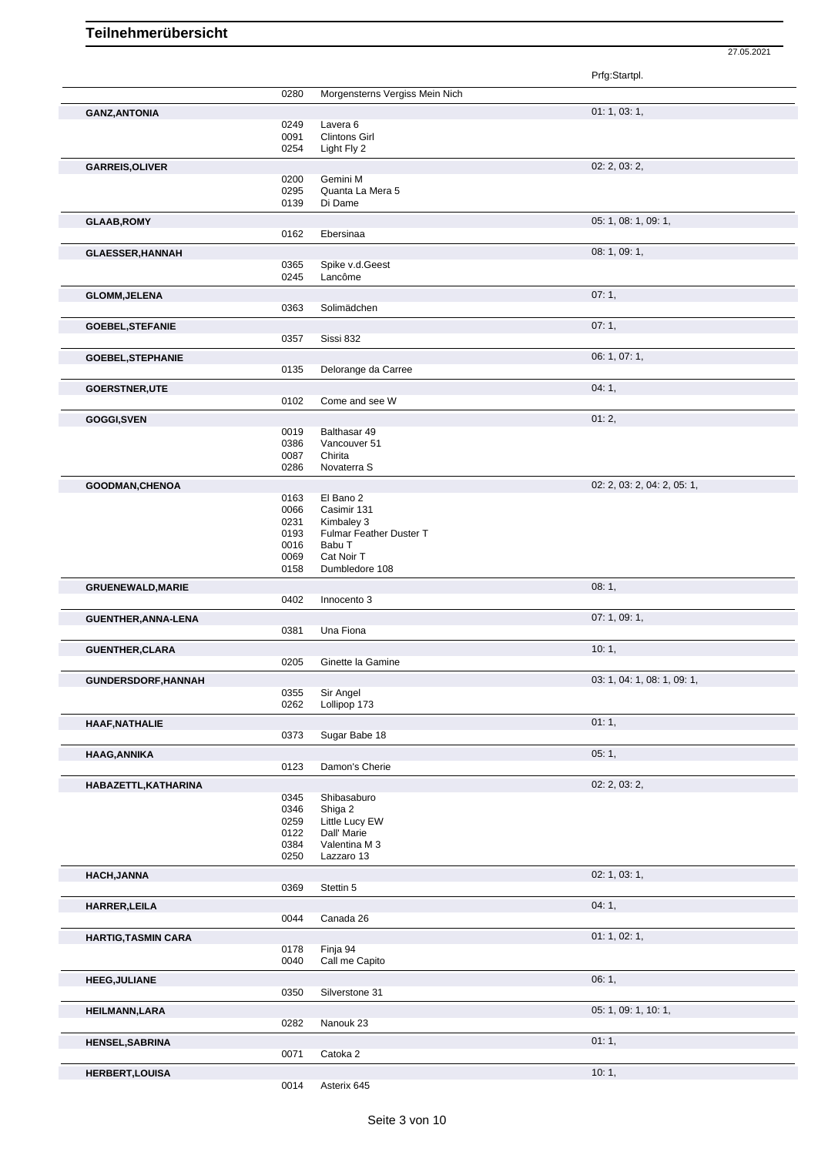Prfg:Startpl. 0280 Morgensterns Vergiss Mein Nich **GANZ,ANTONIA** 01: 1, 03: 1, 0249 Lavera 6 0091 Clintons Girl<br>0254 Light Fly 2 Light Fly 2 **GARREIS,OLIVER** 02: 2, 03: 2, 03: 2, 03: 2, 03: 2, 03: 2, 03: 2, 03: 2, 03: 2, 03: 2, 03: 2, 03: 2, 03: 2, 03: 2, 03: 2, 03: 2, 03: 2, 03: 2, 03: 2, 03: 2, 03: 2, 03: 2, 03: 2, 03: 2, 03: 2, 03: 2, 03: 2, 03: 2, 03: 2, 03 0200 Gemini M 0295 Quanta La Mera 5<br>0139 Di Dame Di Dame **GLAAB,ROMY** 05: 1, 08: 1, 09: 1, 09: 1, 09: 1, 09: 1, 09: 1, 09: 1, 09: 1, 09: 1, 09: 1, 09: 1, 09: 1, 09: 1, 09: 1, 09: 1, 09: 1, 09: 1, 09: 1, 09: 1, 09: 1, 09: 1, 09: 1, 09: 1, 09: 1, 09: 1, 09: 1, 09: 1, 09: 1, 09: 1, 0162 Ebersinaa **GLAESSER, HANNAH** 08: 1, 09: 1, 09: 1, 09: 1, 09: 1, 09: 1, 09: 1, 09: 1, 09: 1, 09: 1, 09: 1, 09: 1, 09: 1, 09: 1, 09: 1, 09: 1, 09: 1, 09: 1, 09: 1, 09: 1, 09: 1, 09: 1, 09: 1, 09: 1, 09: 1, 09: 1, 09: 1, 09: 1, 09: 1, 0365 Spike v.d.Geest<br>0245 Lancôme Lancôme **GLOMM, JELENA** 07: 1, 0363 Solimädchen auch auch der General der General der General der General der General der<br>
0363 Solimädchen auch der General der General der General der General der General der General der General d Solimädchen **GOEBEL, STEFANIE** 07: 1, 0357 Sissi 832 Sissi 832 **GOEBEL, STEPHANIE** 06: 1, 07: 1,<br>
06: 1, 07: 1,<br>
0135 Delorange da Carree Delorange da Carree **GOERSTNER,UTE** 04: 1, Come and see W **GOGGI,SVEN** 01: 2, 0019 Balthasar 49 0019 Balthasar 49<br>0386 Vancouver 5 0386 Vancouver 51<br>0087 Chirita 0087 Chirita<br>0286 Novate Novaterra S **GOODMAN, CHENOA** 02: 2, 03: 2, 04: 2, 05: 1, 05: 1, 05: 1, 05: 1, 05: 1, 05: 1, 05: 1, 05: 1, 05: 1, 05: 1, 05: 1, 05: 1, 05: 1, 05: 1, 05: 04: 2, 05: 04: 2, 05: 04: 2, 05: 04: 2, 05: 04: 2, 05: 04: 2, 05: 04: 2, 05: 04: 0163 El Bano 2<br>0066 Casimir 13 Casimir 131 0231 Kimbaley 3 0193 Fulmar Feather Duster T 0016 Babu T 0069 Cat Noir T<br>0158 Dumbledo Dumbledore 108 **GRUENEWALD,MARIE** 0402 Innocento 3 Innocento 3 **GUENTHER,ANNA-LENA** 0381 Una Fiona Una Fiona **GUENTHER, CLARA** 10: 1, 1, 2005 Ginette la Gamine Ginette la Gamine **GUNDERSDORF, HANNAH** 03: 1, 04: 1, 08: 1, 04: 1, 09: 1, 09: 1, 09: 1, 09: 1, 09: 1, 09: 1, 09: 1, 09: 1, 09: 1, 09: 1, 09: 1, 09: 1, 09: 1, 09: 1, 09: 1, 09: 1, 09: 1, 09: 1, 09: 1, 09: 1, 09: 1, 09: 1, 09: 1, 09: 1, 09: 0355 Sir Angel<br>0262 Lollipop 1 Lollipop 173 **HAAF, NATHALIE** 01: 1, 0373 Sugar Babe 18 Sugar Babe 18 **HAAG,ANNIKA** 05: 1, Damon's Cherie **HABAZETTL,KATHARINA** 02: 2, 03: 2,<br>
0345 Shibasaburo 0345 Chibasa durante de la constantida de la constantida de la constantida de la constantida<br>
0345 Chibasa durante de la constantida de la constantida de la constantida 0345 Shibasaburo<br>0346 Shiga 2 0346 Shiga 2<br>0259 Little Lu Little Lucy EW 0122 Dall' Marie 0384 Valentina M 3 0250 Lazzaro 13 **HACH,JANNA** 02: 1, 03: 1, 0369 Stettin 5 **HARRER,LEILA** 04: 1, 0044 Canada 26 **HARTIG,TASMIN CARA** 01: 1, 02: 1, 02: 1, 02: 1, 02: 1, 02: 1, 02: 1, 02: 1, 02: 1, 02: 1, 02: 1, 02: 1, 02: 1, 02: 1, 02: 1, 02: 1, 02: 1, 02: 1, 02: 1, 02: 1, 02: 1, 02: 1, 02: 1, 02: 1, 02: 1, 02: 1, 02: 1, 02: 1, 02: 1 0178 Finja 94 0040 Call me Capito **HEEG,JULIANE** 06: 1, 0350 Silverstone 31 **HEILMANN,LARA** 05: 1, 09: 1, 10: 1, 0282 Nanouk 23 **HENSEL,SABRINA** 01: 1, 01: 1, 01: 1, 01: 1, 01: 1, 01: 1, 01: 1, 01: 1, 01: 1, 01: 1, 01: 1, 01: 1, 01: 1, 01: 1, 01: 1, 01: 1, 01: 1, 01: 1, 01: 1, 01: 1, 01: 1, 01: 1, 01: 1, 01: 1, 01: 1, 01: 1, 01: 1, 01: 01: 01: 01: 0071 Catoka 2 **HERBERT,LOUISA** 10: 1,

27.05.2021

0014 Asterix 645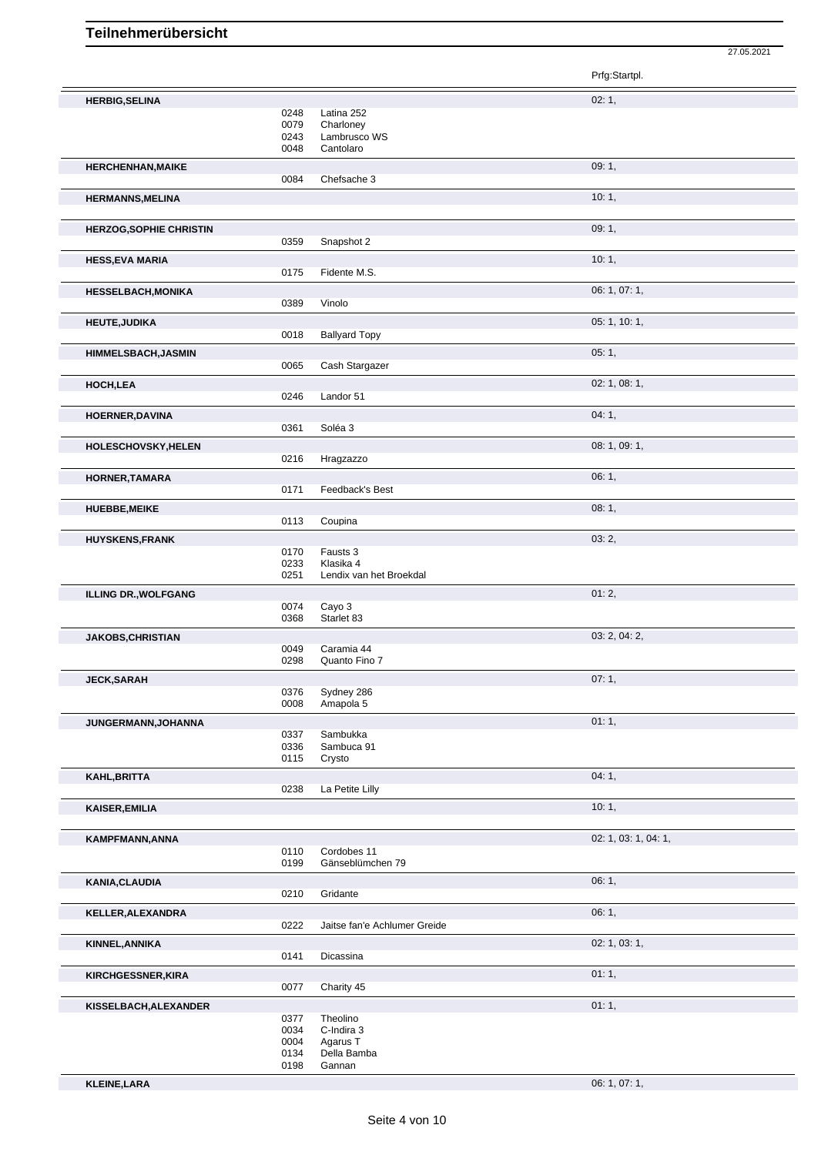|                                |              |                              | Prfg:Startpl.        |
|--------------------------------|--------------|------------------------------|----------------------|
| <b>HERBIG, SELINA</b>          |              |                              | 02:1,                |
|                                | 0248         | Latina 252                   |                      |
|                                | 0079         | Charloney                    |                      |
|                                | 0243<br>0048 | Lambrusco WS<br>Cantolaro    |                      |
|                                |              |                              | 09:1,                |
| <b>HERCHENHAN, MAIKE</b>       | 0084         | Chefsache 3                  |                      |
|                                |              |                              | 10:1,                |
| <b>HERMANNS, MELINA</b>        |              |                              |                      |
|                                |              |                              |                      |
| <b>HERZOG, SOPHIE CHRISTIN</b> | 0359         | Snapshot 2                   | 09:1,                |
|                                |              |                              |                      |
| <b>HESS, EVA MARIA</b>         | 0175         | Fidente M.S.                 | 10:1,                |
|                                |              |                              |                      |
| <b>HESSELBACH, MONIKA</b>      | 0389         | Vinolo                       | 06: 1, 07: 1,        |
|                                |              |                              |                      |
| <b>HEUTE, JUDIKA</b>           | 0018         | <b>Ballyard Topy</b>         | 05: 1, 10: 1,        |
|                                |              |                              |                      |
| <b>HIMMELSBACH, JASMIN</b>     | 0065         | Cash Stargazer               | 05:1,                |
|                                |              |                              |                      |
| HOCH, LEA                      |              | Landor 51                    | 02: 1, 08: 1,        |
|                                | 0246         |                              |                      |
| <b>HOERNER, DAVINA</b>         |              |                              | 04:1,                |
|                                | 0361         | Soléa 3                      |                      |
| <b>HOLESCHOVSKY, HELEN</b>     |              |                              | 08: 1, 09: 1,        |
|                                | 0216         | Hragzazzo                    |                      |
| HORNER, TAMARA                 |              |                              | 06:1,                |
|                                | 0171         | Feedback's Best              |                      |
| <b>HUEBBE, MEIKE</b>           |              |                              | 08: 1,               |
|                                | 0113         | Coupina                      |                      |
| <b>HUYSKENS, FRANK</b>         |              |                              | 03:2,                |
|                                | 0170<br>0233 | Fausts 3<br>Klasika 4        |                      |
|                                | 0251         | Lendix van het Broekdal      |                      |
| <b>ILLING DR., WOLFGANG</b>    |              |                              | 01:2,                |
|                                | 0074         | Cayo 3                       |                      |
|                                | 0368         | Starlet 83                   |                      |
| <b>JAKOBS, CHRISTIAN</b>       |              |                              | 03: 2, 04: 2,        |
|                                | 0049         | Caramia 44                   |                      |
|                                | 0298         | Quanto Fino 7                |                      |
| <b>JECK, SARAH</b>             |              |                              | 07:1,                |
|                                | 0376         | Sydney 286                   |                      |
|                                | 0008         | Amapola 5                    |                      |
| JUNGERMANN, JOHANNA            |              |                              | 01:1,                |
|                                | 0337<br>0336 | Sambukka<br>Sambuca 91       |                      |
|                                | 0115         | Crysto                       |                      |
| KAHL, BRITTA                   |              |                              | 04:1,                |
|                                | 0238         | La Petite Lilly              |                      |
| <b>KAISER, EMILIA</b>          |              |                              | 10:1,                |
|                                |              |                              |                      |
| KAMPFMANN, ANNA                |              |                              | 02: 1, 03: 1, 04: 1, |
|                                | 0110         | Cordobes 11                  |                      |
|                                | 0199         | Gänseblümchen 79             |                      |
| KANIA, CLAUDIA                 |              |                              | 06:1,                |
|                                | 0210         | Gridante                     |                      |
| KELLER, ALEXANDRA              |              |                              | 06:1,                |
|                                | 0222         | Jaitse fan'e Achlumer Greide |                      |
| KINNEL, ANNIKA                 |              |                              | 02: 1, 03: 1,        |
|                                | 0141         | Dicassina                    |                      |
| KIRCHGESSNER, KIRA             |              |                              | 01:1,                |
|                                | 0077         | Charity 45                   |                      |
| KISSELBACH, ALEXANDER          |              |                              | 01:1,                |
|                                | 0377         | Theolino                     |                      |
|                                | 0034<br>0004 | C-Indira 3<br>Agarus T       |                      |
|                                | 0134         | Della Bamba                  |                      |
|                                | 0198         | Gannan                       |                      |

27.05.2021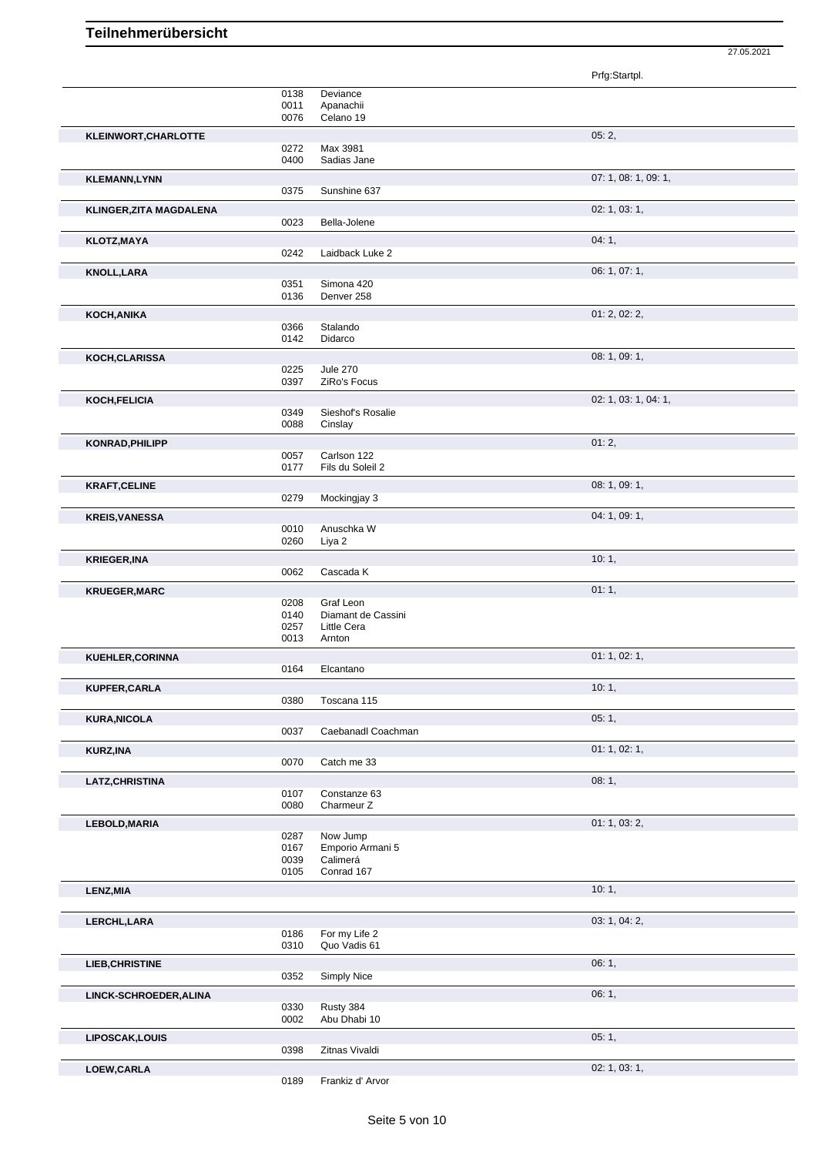Prfg:Startpl. 0138 Deviance<br>0011 Ananachii 0011 Apanachii<br>0076 Celano 19 Celano 19 **KLEINWORT, CHARLOTTE 05: 2,** 0272 Max 3981 0400 Sadias Jane **KLEMANN.LYNN** 07: 1, 08: 1, 09: 1, 0375 Sunshine 637 **KLINGER,ZITA MAGDALENA** 02: 1, 03: 1, 0023 Bella-Jolene **KLOTZ,MAYA** 04: 1, 04: 1, 04: 1, 04: 1, 04: 1, 04: 1, 04: 1, 04: 1, 04: 1, 04: 1, 04: 1, 04: 1, 04: 1, 04: 1, 04: 1, 04: 1, 04: 1, 04: 1, 04: 1, 04: 1, 04: 1, 04: 1, 04: 1, 04: 1, 04: 1, 04: 1, 04: 1, 04: 04: 04: 04: 04: 0242 Laidback Luke 2 **KNOLL,LARA** 06: 1, 07: 1, 0351 Simona 420<br>0136 Denver 258 Denver 258 **KOCH,ANIKA** 01: 2, 02: 2, 0366 Stalando<br>0142 Didarco Didarco **KOCH, CLARISSA** 08: 1, 09: 1, 09: 1, 09: 1, 09: 1, 09: 1, 09: 1, 09: 1, 09: 1, 09: 1, 09: 1, 09: 1, 09: 1, 09: 1, 09: 1, 09: 1, 09: 1, 09: 1, 09: 1, 09: 1, 09: 1, 09: 1, 09: 1, 09: 1, 09: 1, 09: 1, 09: 1, 09: 1, 09: 1, 09 0225 Jule 270<br>0397 ZiRo's Fo ZiRo's Focus **KOCH, FELICIA** 02: 1, 03: 1, 04: 1, 04: 1, 04: 1, 04: 1, 04: 1, 04: 1, 04: 1, 04: 1, 04: 1, 04: 1, 04: 1, 04: 1, 04: 1, 05: 0349 Sieshof's Rosalie 0349 Sieshof's Rosalie<br>0088 Cinslay Cinslay **KONRAD, PHILIPP** 01: 2, 0057 Carlson 122 0057 Carlson 122<br>0177 Fils du Soleil Fils du Soleil 2 **KRAFT, CELINE** 08: 1, 09: 1, 09: 1, 09: 1, 09: 1, 09: 1, 09: 1, 09: 1, 09: 1, 09: 1, 09: 1, 09: 1, 09: 1, 09: 1, 09: 1, 09: 1, 09: 1, 09: 1, 09: 1, 09: 1, 09: 1, 09: 1, 09: 1, 09: 1, 09: 1, 09: 1, 09: 1, 09: 1, 09: 1, 09: Mockingjay 3 **KREIS,VANESSA** 04: 1, 09: 1, 0010 Anuschka W<br>0260 Liya 2 Liya 2 **KRIEGER,INA** 10: 1, 0062 Cascada K **KRUEGER, MARC** 01: 1, 0208 Graf Leon 02008 Crack Company of the U.S. 01: 1, 0208 Graf Leon 0208 Crack Company of the U.S. 01: 1, 0208 Graf Leon<br>0140 Diamant d Diamant de Cassini 0257 Little Cera 0013 Arnton **KUEHLER, CORINNA** 01: 1, 02: 1, 02: 1, 02: 1, 02: 1, 02: 1, 02: 1, 02: 1, 02: 1, 02: 1, 02: 1, 02: 1, 02: 1, 02: 1, 02: 1, 02: 1, 02: 1, 02: 1, 02: 1, 02: 1, 02: 1, 02: 1, 02: 1, 02: 1, 02: 1, 02: 1, 02: 1, 02: 1, 02: 1, 0164 Elcantano **KUPFER,CARLA** 10: 1, 0380 Toscana 115 **KURA,NICOLA** 05: 1, Caebanadl Coachman **KURZ,INA** 01: 1, 02: 1, 0070 Catch me 33 LATZ, CHRISTINA 08: 1, 000 08: 1, 000 08: 1, 000 08: 1, 000 08: 1, 000 08: 1, 000 08: 1, 000 08: 1, 000 08: 1, 000 08: 1, 000 08: 1, 000 08: 1, 000 08: 1, 000 08: 1, 000 08: 000 08: 000 09: 000 09: 000 09: 000 09: 000 09: 0107 Constanze 63<br>0080 Charmeur Z Charmeur Z **LEBOLD,MARIA** 01: 1, 03: 2, 0287 Now Jump 0287 Now Jump<br>0167 Emporio Ar 0167 Emporio Armani 5<br>0039 Calimerá 0039 Calimerá<br>0105 Conrad 1 Conrad 167 **LENZ,MIA** 10: 1, the contract of the contract of the contract of the contract of the contract of the contract of the contract of the contract of the contract of the contract of the contract of the contract of the contract **LERCHL, LARA** 03: 1, 04: 2, 04: 2, 04: 2, 04: 2, 04: 2, 04: 2, 04: 2, 04: 2, 04: 2, 04: 2, 04: 2, 04: 2, 04: 2, 04: 2, 04: 2, 04: 2, 04: 2, 04: 2, 04: 2, 04: 2, 04: 2, 04: 2, 04: 2, 04: 2, 04: 2, 04: 2, 04: 2, 04: 2, 04: 0186 For my Life 2<br>0310 Quo Vadis 61 Quo Vadis 61 **LIEB, CHRISTINE** 06: 1, 0352 Simply Nice **LINCK-SCHROEDER,ALINA** 06: 1, 0330 Rusty 384 0002 Abu Dhabi 10 **LIPOSCAK,LOUIS** 05: 1, 0398 Zitnas Vivaldi **LOEW,CARLA** 02: 1, 03: 1,

27.05.2021

0189 Frankiz d' Arvor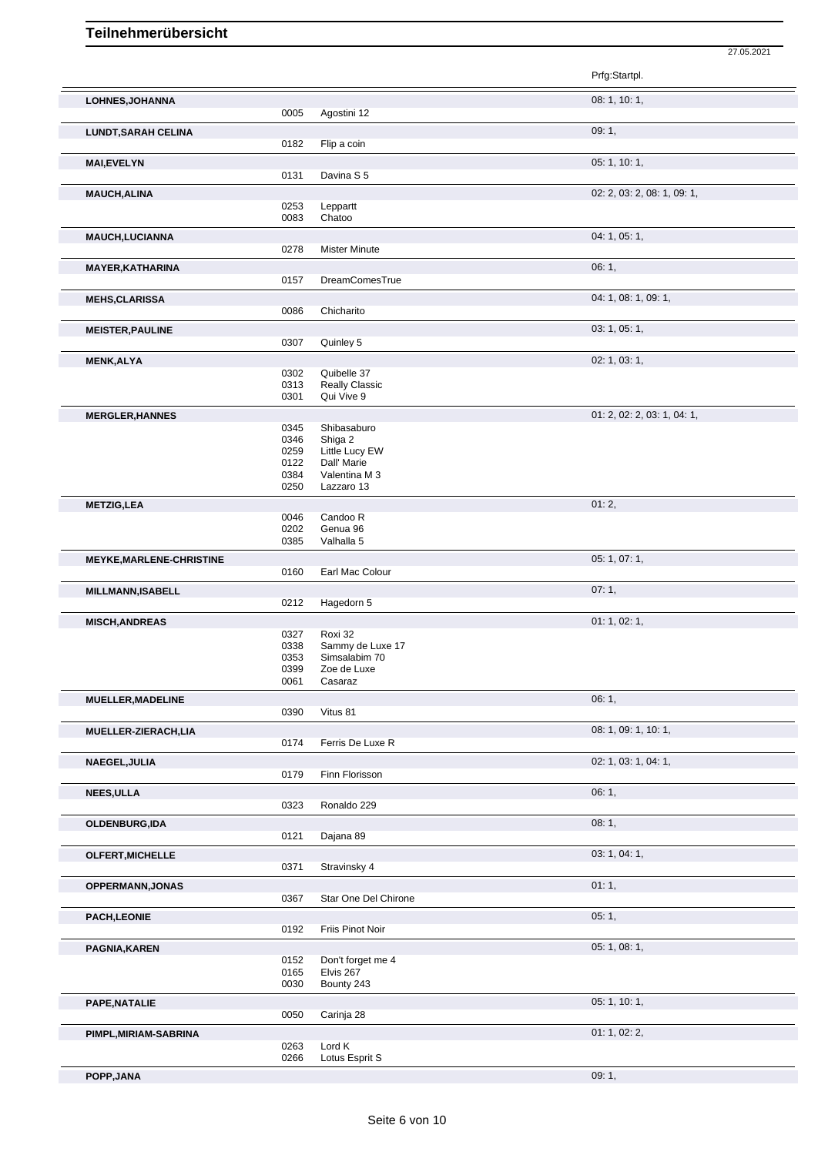|                                 |              |                               | Prfg:Startpl.               |
|---------------------------------|--------------|-------------------------------|-----------------------------|
| LOHNES, JOHANNA                 |              |                               | 08: 1, 10: 1,               |
|                                 | 0005         | Agostini 12                   |                             |
| <b>LUNDT, SARAH CELINA</b>      |              |                               | 09:1,                       |
|                                 | 0182         | Flip a coin                   |                             |
| <b>MAI,EVELYN</b>               |              |                               | 05: 1, 10: 1,               |
|                                 | 0131         | Davina S 5                    |                             |
| <b>MAUCH, ALINA</b>             |              |                               | 02: 2, 03: 2, 08: 1, 09: 1, |
|                                 | 0253<br>0083 | Leppartt<br>Chatoo            |                             |
|                                 |              |                               |                             |
| <b>MAUCH,LUCIANNA</b>           | 0278         | <b>Mister Minute</b>          | 04: 1, 05: 1,               |
|                                 |              |                               |                             |
| <b>MAYER, KATHARINA</b>         | 0157         | DreamComesTrue                | 06:1,                       |
|                                 |              |                               |                             |
| <b>MEHS, CLARISSA</b>           | 0086         | Chicharito                    | 04: 1, 08: 1, 09: 1,        |
|                                 |              |                               |                             |
| <b>MEISTER, PAULINE</b>         | 0307         | Quinley 5                     | 03: 1, 05: 1,               |
|                                 |              |                               |                             |
| <b>MENK, ALYA</b>               | 0302         | Quibelle 37                   | 02: 1, 03: 1,               |
|                                 | 0313         | <b>Really Classic</b>         |                             |
|                                 | 0301         | Qui Vive 9                    |                             |
| <b>MERGLER, HANNES</b>          |              |                               | 01: 2, 02: 2, 03: 1, 04: 1, |
|                                 | 0345         | Shibasaburo                   |                             |
|                                 | 0346         | Shiga 2                       |                             |
|                                 | 0259<br>0122 | Little Lucy EW<br>Dall' Marie |                             |
|                                 | 0384         | Valentina M 3                 |                             |
|                                 | 0250         | Lazzaro 13                    |                             |
| <b>METZIG,LEA</b>               |              |                               | 01:2,                       |
|                                 | 0046         | Candoo R                      |                             |
|                                 | 0202         | Genua 96                      |                             |
|                                 | 0385         | Valhalla 5                    |                             |
| <b>MEYKE, MARLENE-CHRISTINE</b> |              |                               | 05: 1, 07: 1,               |
|                                 | 0160         | Earl Mac Colour               |                             |
| <b>MILLMANN, ISABELL</b>        |              |                               | 07:1,                       |
|                                 | 0212         | Hagedorn 5                    |                             |
| <b>MISCH, ANDREAS</b>           |              |                               | 01: 1, 02: 1,               |
|                                 | 0327<br>0338 | Roxi 32<br>Sammy de Luxe 17   |                             |
|                                 | 0353         | Simsalabim 70                 |                             |
|                                 | 0399         | Zoe de Luxe                   |                             |
|                                 | 0061         | Casaraz                       |                             |
| MUELLER, MADELINE               |              |                               | 06:1,                       |
|                                 | 0390         | Vitus 81                      |                             |
| MUELLER-ZIERACH,LIA             |              |                               | 08: 1, 09: 1, 10: 1,        |
|                                 | 0174         | Ferris De Luxe R              |                             |
| NAEGEL, JULIA                   |              |                               | 02: 1, 03: 1, 04: 1,        |
|                                 | 0179         | Finn Florisson                |                             |
| <b>NEES, ULLA</b>               |              |                               | 06:1,                       |
|                                 | 0323         | Ronaldo 229                   |                             |
| OLDENBURG, IDA                  |              |                               | 08:1,                       |
|                                 | 0121         | Dajana 89                     |                             |
| OLFERT, MICHELLE                |              |                               | 03: 1, 04: 1,               |
|                                 | 0371         | Stravinsky 4                  |                             |
| OPPERMANN, JONAS                |              |                               | 01:1,                       |
|                                 | 0367         | Star One Del Chirone          |                             |
| <b>PACH,LEONIE</b>              |              |                               | 05:1,                       |
|                                 | 0192         | Friis Pinot Noir              |                             |
| <b>PAGNIA, KAREN</b>            |              |                               | 05: 1, 08: 1,               |
|                                 | 0152         | Don't forget me 4             |                             |
|                                 | 0165<br>0030 | Elvis 267<br>Bounty 243       |                             |
|                                 |              |                               |                             |
| PAPE, NATALIE                   | 0050         | Carinja 28                    | 05: 1, 10: 1,               |
|                                 |              |                               |                             |
| PIMPL, MIRIAM-SABRINA           | 0263         | Lord K                        | 01: 1, 02: 2,               |
|                                 | 0266         | Lotus Esprit S                |                             |

**POPP,JANA** 09: 1,

27.05.2021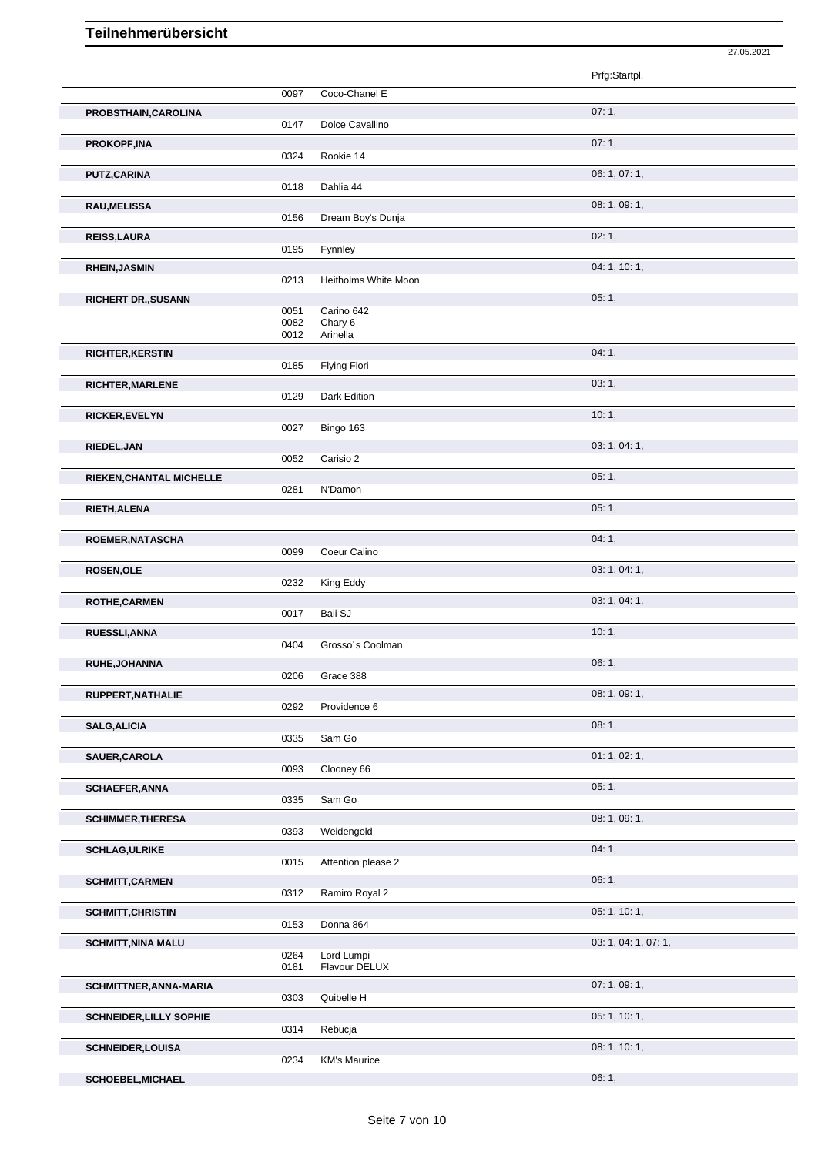|                                |              |                             | 27.05.2021           |
|--------------------------------|--------------|-----------------------------|----------------------|
|                                |              |                             | Prfg:Startpl.        |
|                                | 0097         | Coco-Chanel E               |                      |
| PROBSTHAIN, CAROLINA           |              |                             | 07:1,                |
|                                | 0147         | Dolce Cavallino             | 07:1,                |
| <b>PROKOPF,INA</b>             | 0324         | Rookie 14                   |                      |
| <b>PUTZ,CARINA</b>             |              |                             | 06: 1, 07: 1,        |
|                                | 0118         | Dahlia 44                   |                      |
| <b>RAU, MELISSA</b>            | 0156         | Dream Boy's Dunja           | 08: 1, 09: 1,        |
| <b>REISS, LAURA</b>            |              |                             | 02:1,                |
|                                | 0195         | Fynnley                     |                      |
| <b>RHEIN, JASMIN</b>           | 0213         | Heitholms White Moon        | 04: 1, 10: 1,        |
| <b>RICHERT DR., SUSANN</b>     |              |                             | 05:1,                |
|                                | 0051<br>0082 | Carino 642<br>Chary 6       |                      |
|                                | 0012         | Arinella                    |                      |
| <b>RICHTER, KERSTIN</b>        |              |                             | 04: 1,               |
|                                | 0185         | Flying Flori                |                      |
| <b>RICHTER, MARLENE</b>        | 0129         | Dark Edition                | 03:1,                |
| <b>RICKER, EVELYN</b>          |              |                             | 10:1,                |
|                                | 0027         | Bingo 163                   |                      |
| RIEDEL, JAN                    |              |                             | 03: 1, 04: 1,        |
| RIEKEN, CHANTAL MICHELLE       | 0052         | Carisio 2                   | 05:1,                |
|                                | 0281         | N'Damon                     |                      |
| RIETH, ALENA                   |              |                             | 05:1,                |
|                                |              |                             |                      |
| ROEMER, NATASCHA               | 0099         | Coeur Calino                | 04:1,                |
| <b>ROSEN, OLE</b>              |              |                             | 03: 1, 04: 1,        |
|                                | 0232         | King Eddy                   |                      |
| <b>ROTHE, CARMEN</b>           | 0017         | <b>Bali SJ</b>              | 03: 1, 04: 1,        |
| RUESSLI, ANNA                  |              |                             | 10:1,                |
|                                | 0404         | Grosso's Coolman            |                      |
| <b>RUHE,JOHANNA</b>            |              |                             | 06:1,                |
|                                | 0206         | Grace 388                   | 08: 1, 09: 1,        |
| RUPPERT, NATHALIE              | 0292         | Providence 6                |                      |
| <b>SALG, ALICIA</b>            |              |                             | 08:1,                |
|                                | 0335         | Sam Go                      |                      |
| SAUER, CAROLA                  | 0093         | Clooney 66                  | 01: 1, 02: 1,        |
| <b>SCHAEFER, ANNA</b>          |              |                             | 05:1,                |
|                                | 0335         | Sam Go                      |                      |
| <b>SCHIMMER, THERESA</b>       | 0393         | Weidengold                  | 08: 1, 09: 1,        |
| <b>SCHLAG, ULRIKE</b>          |              |                             | 04:1,                |
|                                | 0015         | Attention please 2          |                      |
| <b>SCHMITT, CARMEN</b>         |              |                             | 06:1,                |
|                                | 0312         | Ramiro Royal 2              |                      |
| <b>SCHMITT, CHRISTIN</b>       | 0153         | Donna 864                   | 05: 1, 10: 1,        |
| <b>SCHMITT, NINA MALU</b>      |              |                             | 03: 1, 04: 1, 07: 1, |
|                                | 0264<br>0181 | Lord Lumpi<br>Flavour DELUX |                      |
| SCHMITTNER, ANNA-MARIA         |              |                             | 07: 1, 09: 1,        |
|                                | 0303         | Quibelle H                  |                      |
| <b>SCHNEIDER, LILLY SOPHIE</b> |              |                             | 05: 1, 10: 1,        |
|                                | 0314         | Rebucja                     |                      |
| <b>SCHNEIDER,LOUISA</b>        | 0234         | <b>KM's Maurice</b>         | 08: 1, 10: 1,        |
|                                |              |                             |                      |

**SCHOEBEL, MICHAEL** 06: 1,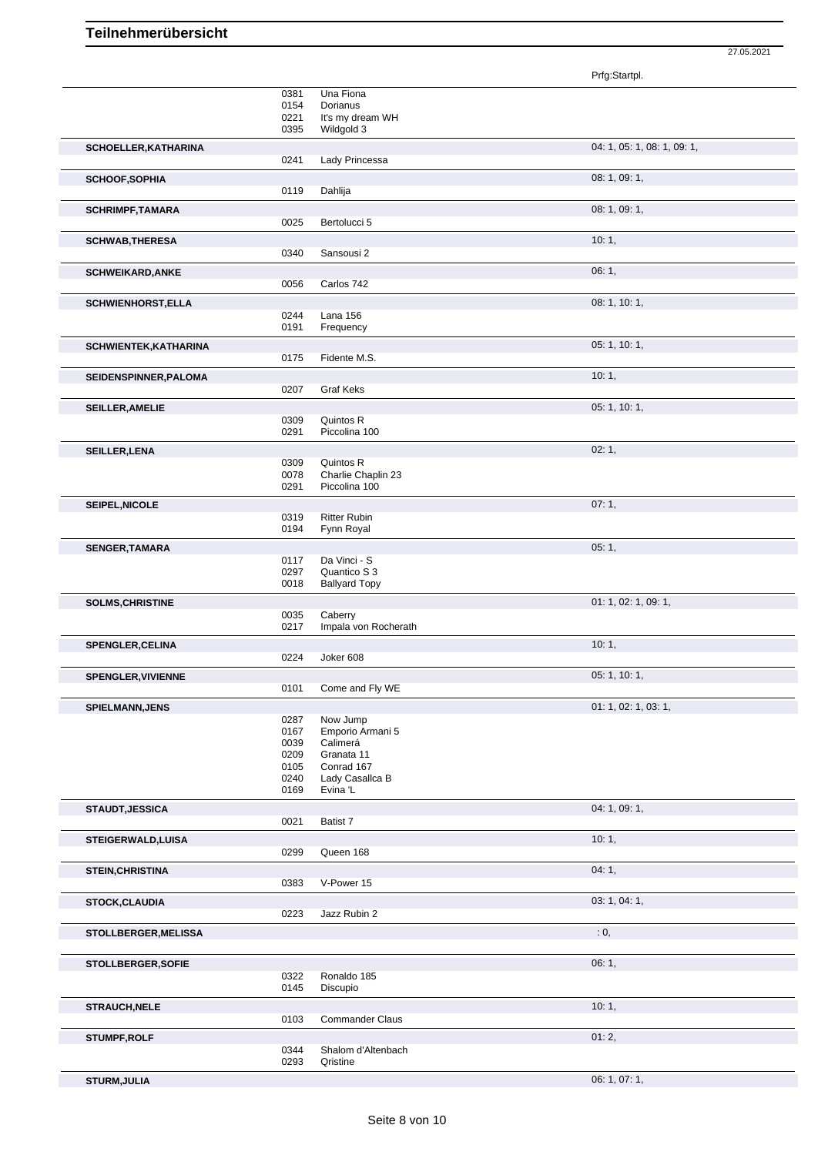Prfg:Startpl. 0381 Una Fiona<br>0154 Dorianus 0154 Dorianus<br>0221 It's my dre  $0221$  It's my dream WH<br>0395 Wildgold 3 Wildgold 3 **SCHOELLER,KATHARINA** 04: 1, 05: 1, 08: 1, 09: 1, 0241 Lady Princessa **SCHOOF,SOPHIA** 08: 1, 09: 1, 0119 Dahlija **SCHRIMPF,TAMARA** 08: 1, 09: 1, 09: 1, 09: 1, 09: 1, 09: 1, 09: 1, 09: 1, 09: 1, 09: 1, 09: 1, 09: 1, 09: 1, 09: 1, 09: 1, 09: 1, 09: 1, 09: 1, 09: 1, 09: 1, 09: 1, 09: 1, 09: 1, 09: 1, 09: 1, 09: 1, 09: 1, 09: 1, 09: 1, 0 0025 Bertolucci 5 **SCHWAB,THERESA** 10: 1, 0340 Sansousi 2 **SCHWEIKARD,ANKE** 06: 1, 06: 1, 06: 1, 06: 1, 06: 1, 06: 1, 06: 1, 06: 1, 06: 1, 06: 1, 06: 1, 06: 1, 06: 1, 06: 1, 06: 1, 06: 1, 06: 1, 06: 1, 06: 1, 06: 1, 06: 1, 06: 1, 06: 1, 06: 1, 06: 1, 06: 1, 06: 1, 06: 1, 06: 1, 0 0056 Carlos 742 **SCHWIENHORST,ELLA** 08: 1, 10: 1, 0244 Lana 156<br>0191 Frequenc Frequency **SCHWIENTEK,KATHARINA** 05: 1, 10: 1, Fidente M.S. **SEIDENSPINNER, PALOMA** 10: 1, 1, 2007 Graf Keks Graf Keks **SEILLER, AMELIE** 0309 Quintos R<br>
05: 1, 10: 1, 0309 Quintos R<br>0291 Piccolina Piccolina 100 **SEILLER, LENA** 02: 1, 02: 1, 0309 Quintos R 0309 Quintos R<br>0078 Charlie Ch 0078 Charlie Chaplin 23<br>0291 Piccolina 100 Piccolina 100 **SEIPEL, NICOLE** 07: 1, 0319 Ritter Rubin 0319 Ritter Rubin 0194 Fynn Royal **SENGER,TAMARA** 05: 1, 05: 1, 05: 1, 05: 1, 05: 1, 05: 1, 05: 1, 05: 1, 05: 1, 05: 1, 05: 1, 05: 1, 05: 1, 05: 1, 05: 1, 05: 1, 05: 1, 05: 1, 05: 1, 05: 1, 05: 1, 05: 1, 05: 1, 05: 1, 05: 1, 05: 1, 05: 1, 05: 1, 05: 1, 05: 0117 Da Vinci - S 0297 Quantico S 3 0018 Ballyard Topy **SOLMS, CHRISTINE** 01: 1, 02: 1, 09: 1, 09: 1, 09: 1, 09: 1, 09: 1, 09: 1, 09: 1, 09: 1, 09: 1, 09: 1, 09: 1, 09: 1, 09: 1, 09: 1, 09: 1, 09: 1, 09: 1, 09: 1, 09: 1, 09: 1, 09: 1, 09: 1, 09: 1, 09: 1, 09: 1, 09: 1, 09: 1, 0035 Caberry 0217 Impala von Rocherath **SPENGLER, CELINA** 10: 1, 2024 Joker 608 Joker 608 **SPENGLER, VIVIENNE** 05: 1, 10: 1,<br>
0101 Come and Fly WE Come and Fly WE **SPIELMANN,JENS** 01: 1, 02: 1, 03: 1, 03: 1, 03: 1, 03: 1, 03: 1, 03: 1, 03: 1, 03: 1, 03: 1, 03: 1, 03: 1, 03: 1, 03: 1, 05: 1, 05: 1, 05: 1, 05: 1, 05: 1, 05: 1, 05: 1, 05: 1, 05: 1, 05: 1, 05: 1, 05: 1, 05: 1, 05: 1, 05 0287 Now Jump<br>0167 Emporio Ar 0167 Emporio Armani 5<br>0039 Calimerá 0039 Calimerá<br>0209 Granata 1 0209 Granata 11<br>0105 Conrad 167 0105 Conrad 167<br>0240 Lady Casall 0240 Lady Casallca B<br>0169 Evina 'L Evina 'L **STAUDT, JESSICA** 04: 1, 09: 1, 09: 1, 09: 1, 09: 1, 09: 1, 09: 1, 09: 1, 09: 1, 09: 1, 09: 1, 09: 1, 09: 1, 09: 1, 09: 1, 09: 1, 09: 1, 09: 1, 09: 1, 09: 1, 09: 1, 09: 1, 09: 1, 09: 1, 09: 1, 09: 1, 09: 1, 09: 1, 09: 1, 0 Batist 7 **STEIGERWALD,LUISA** 10: 1, 299 Queen 168 Queen 168 **STEIN, CHRISTINA** 04: 1, 04: 1, 0383 V-Power 15 V-Power 15 **STOCK,CLAUDIA** 03: 1, 04: 1, 0223 Jazz Rubin 2 **STOLLBERGER, MELISSA** : 0, **STOLLBERGER, SOFIE** 06: 1, 0322 Ronaldo 185<br>0145 Discupio Discupio **STRAUCH,NELE** 10: 1, Commander Claus **STUMPF,ROLF** 01: 2, 0344 Shalom d'Altenbach<br>0293 Qristine Qristine **STURM,JULIA** 06: 1, 07: 1,

27.05.2021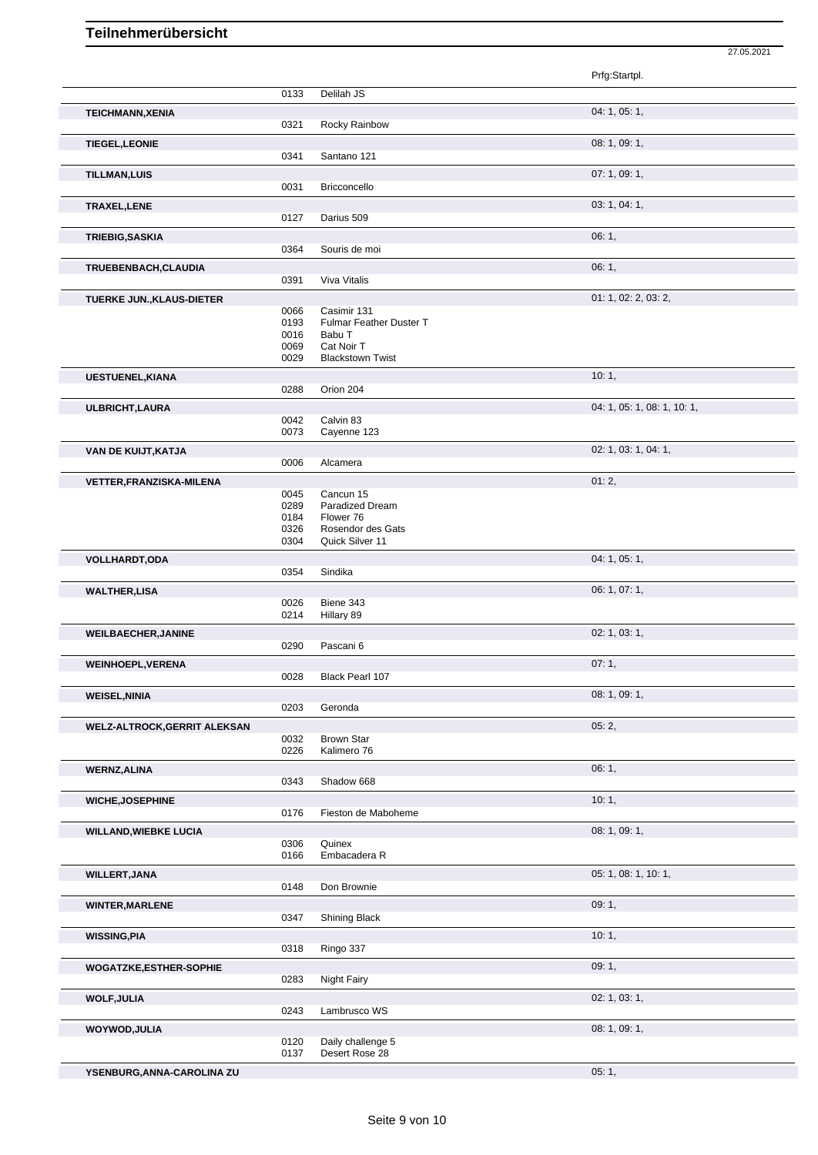|                                     |              |                                  | Prfg:Startpl.               |
|-------------------------------------|--------------|----------------------------------|-----------------------------|
|                                     | 0133         | Delilah JS                       |                             |
| <b>TEICHMANN, XENIA</b>             | 0321         | Rocky Rainbow                    | 04: 1, 05: 1,               |
| <b>TIEGEL, LEONIE</b>               |              |                                  | 08: 1, 09: 1,               |
|                                     | 0341         | Santano 121                      |                             |
| <b>TILLMAN,LUIS</b>                 | 0031         | Bricconcello                     | 07: 1, 09: 1,               |
| TRAXEL, LENE                        |              |                                  | 03: 1, 04: 1,               |
|                                     | 0127         | Darius 509                       |                             |
| TRIEBIG, SASKIA                     | 0364         | Souris de moi                    | 06:1,                       |
| TRUEBENBACH, CLAUDIA                |              |                                  | 06:1,                       |
|                                     | 0391         | Viva Vitalis                     |                             |
| TUERKE JUN., KLAUS-DIETER           |              |                                  | 01: 1, 02: 2, 03: 2,        |
|                                     | 0066         | Casimir 131                      |                             |
|                                     | 0193         | Fulmar Feather Duster T          |                             |
|                                     | 0016         | Babu T                           |                             |
|                                     | 0069         | Cat Noir T                       |                             |
|                                     | 0029         | <b>Blackstown Twist</b>          |                             |
| <b>UESTUENEL, KIANA</b>             | 0288         | Orion 204                        | 10:1,                       |
| ULBRICHT, LAURA                     |              |                                  | 04: 1, 05: 1, 08: 1, 10: 1, |
|                                     | 0042         | Calvin 83                        |                             |
|                                     | 0073         | Cayenne 123                      |                             |
| VAN DE KUIJT, KATJA                 | 0006         | Alcamera                         | 02: 1, 03: 1, 04: 1,        |
|                                     |              |                                  | 01:2,                       |
| <b>VETTER, FRANZISKA-MILENA</b>     | 0045         | Cancun 15                        |                             |
|                                     | 0289         | Paradized Dream                  |                             |
|                                     | 0184         | Flower 76                        |                             |
|                                     | 0326         | Rosendor des Gats                |                             |
|                                     | 0304         | Quick Silver 11                  |                             |
| <b>VOLLHARDT,ODA</b>                |              |                                  | 04: 1, 05: 1,               |
|                                     | 0354         | Sindika                          |                             |
| <b>WALTHER,LISA</b>                 |              |                                  | 06: 1, 07: 1,               |
|                                     | 0026<br>0214 | Biene 343<br>Hillary 89          |                             |
|                                     |              |                                  |                             |
| <b>WEILBAECHER, JANINE</b>          | 0290         | Pascani 6                        | 02: 1, 03: 1,               |
|                                     |              |                                  |                             |
| <b>WEINHOEPL, VERENA</b>            |              |                                  | 07:1,                       |
|                                     | 0028         | Black Pearl 107                  |                             |
| <b>WEISEL, NINIA</b>                |              |                                  | 08: 1, 09: 1,               |
|                                     | 0203         | Geronda                          |                             |
| <b>WELZ-ALTROCK, GERRIT ALEKSAN</b> |              |                                  | 05:2,                       |
|                                     | 0032<br>0226 | <b>Brown Star</b><br>Kalimero 76 |                             |
|                                     |              |                                  |                             |
| <b>WERNZ, ALINA</b>                 | 0343         | Shadow 668                       | 06:1,                       |
|                                     |              |                                  |                             |
| <b>WICHE, JOSEPHINE</b>             |              |                                  | 10:1,                       |
|                                     | 0176         | Fieston de Maboheme              |                             |
| <b>WILLAND, WIEBKE LUCIA</b>        |              |                                  | 08: 1, 09: 1,               |
|                                     | 0306<br>0166 | Quinex<br>Embacadera R           |                             |
|                                     |              |                                  |                             |
| <b>WILLERT, JANA</b>                | 0148         | Don Brownie                      | 05: 1, 08: 1, 10: 1,        |
|                                     |              |                                  |                             |
| <b>WINTER, MARLENE</b>              |              |                                  | 09:1,                       |
|                                     | 0347         | Shining Black                    |                             |
| <b>WISSING, PIA</b>                 |              |                                  | 10:1,                       |
|                                     | 0318         | Ringo 337                        |                             |
| WOGATZKE, ESTHER-SOPHIE             |              |                                  | 09:1,                       |
|                                     | 0283         | <b>Night Fairy</b>               |                             |
| <b>WOLF, JULIA</b>                  |              |                                  | 02: 1, 03: 1,               |
|                                     | 0243         | Lambrusco WS                     |                             |
| WOYWOD, JULIA                       |              |                                  | 08: 1, 09: 1,               |
|                                     | 0120         | Daily challenge 5                |                             |
|                                     | 0137         | Desert Rose 28                   |                             |

27.05.2021

**YSENBURG,ANNA-CAROLINA ZU** 05: 1,